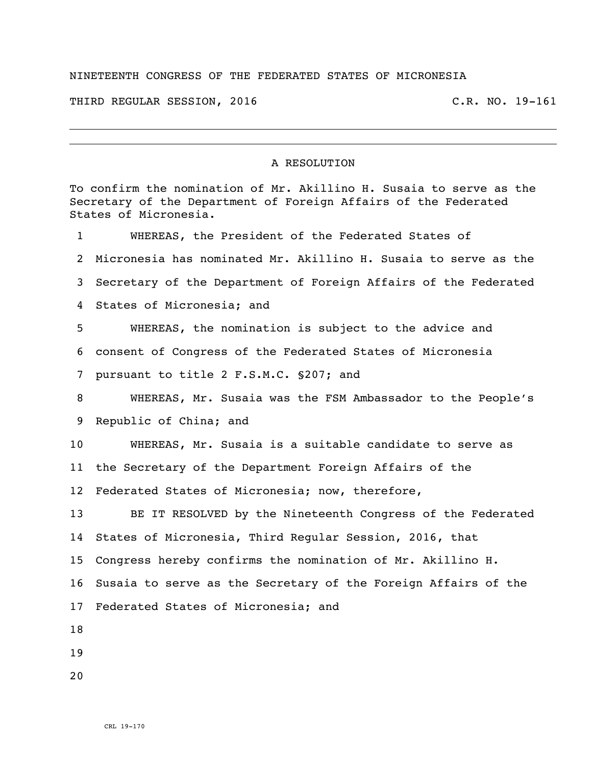## NINETEENTH CONGRESS OF THE FEDERATED STATES OF MICRONESIA

THIRD REGULAR SESSION, 2016 C.R. NO. 19-161

## A RESOLUTION

To confirm the nomination of Mr. Akillino H. Susaia to serve as the Secretary of the Department of Foreign Affairs of the Federated States of Micronesia. WHEREAS, the President of the Federated States of Micronesia has nominated Mr. Akillino H. Susaia to serve as the Secretary of the Department of Foreign Affairs of the Federated States of Micronesia; and WHEREAS, the nomination is subject to the advice and consent of Congress of the Federated States of Micronesia pursuant to title 2 F.S.M.C. §207; and WHEREAS, Mr. Susaia was the FSM Ambassador to the People's Republic of China; and WHEREAS, Mr. Susaia is a suitable candidate to serve as the Secretary of the Department Foreign Affairs of the Federated States of Micronesia; now, therefore, BE IT RESOLVED by the Nineteenth Congress of the Federated States of Micronesia, Third Regular Session, 2016, that Congress hereby confirms the nomination of Mr. Akillino H. Susaia to serve as the Secretary of the Foreign Affairs of the Federated States of Micronesia; and